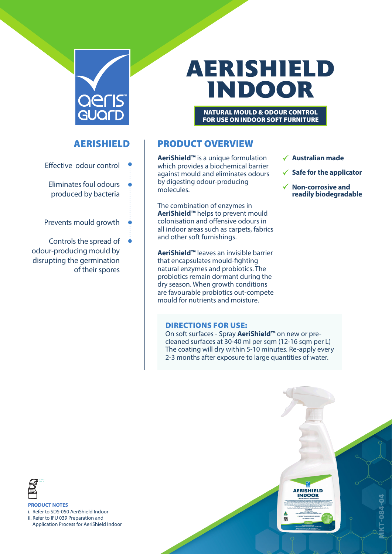

# **AERISHIELD INDOOR**

NATURAL MOULD & ODOUR CONTROL FOR USE ON INDOOR SOFT FURNITURE

AERISHIELD

- Effective odour control
	- Eliminates foul odours produced by bacteria
- Prevents mould growth
- Controls the spread of odour-producing mould by disrupting the germination of their spores

# PRODUCT OVERVIEW

**AeriShield™** is a unique formulation which provides a biochemical barrier against mould and eliminates odours by digesting odour-producing molecules.

The combination of enzymes in **AeriShield™** helps to prevent mould colonisation and offensive odours in all indoor areas such as carpets, fabrics and other soft furnishings.

**AeriShield™** leaves an invisible barrier that encapsulates mould-fighting natural enzymes and probiotics. The probiotics remain dormant during the dry season. When growth conditions are favourable probiotics out-compete mould for nutrients and moisture.

### DIRECTIONS FOR USE:

On soft surfaces - Spray **AeriShield™** on new or precleaned surfaces at 30-40 ml per sqm (12-16 sqm per L) The coating will dry within 5-10 minutes. Re-apply every 2-3 months after exposure to large quantities of water.



**PRODUCT NOTES**

i. Refer to SDS-050 AeriShield Indoor ii. Refer to IFU 039 Preparation and

Application Process for AeriShield Indoor

#### **Australian made**

**AERISHIELD** 

- **Safe for the applicator**
- **Non-corrosive and readily biodegradable**